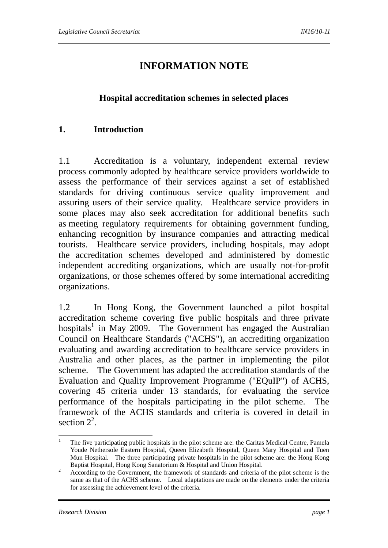# **INFORMATION NOTE**

#### **Hospital accreditation schemes in selected places**

#### **1. Introduction**

1.1 Accreditation is a voluntary, independent external review process commonly adopted by healthcare service providers worldwide to assess the performance of their services against a set of established standards for driving continuous service quality improvement and assuring users of their service quality. Healthcare service providers in some places may also seek accreditation for additional benefits such as meeting regulatory requirements for obtaining government funding, enhancing recognition by insurance companies and attracting medical tourists. Healthcare service providers, including hospitals, may adopt the accreditation schemes developed and administered by domestic independent accrediting organizations, which are usually not-for-profit organizations, or those schemes offered by some international accrediting organizations.

1.2 In Hong Kong, the Government launched a pilot hospital accreditation scheme covering five public hospitals and three private hospitals<sup>1</sup> in May 2009. The Government has engaged the Australian Council on Healthcare Standards ("ACHS"), an accrediting organization evaluating and awarding accreditation to healthcare service providers in Australia and other places, as the partner in implementing the pilot scheme. The Government has adapted the accreditation standards of the Evaluation and Quality Improvement Programme ("EQuIP") of ACHS, covering 45 criteria under 13 standards, for evaluating the service performance of the hospitals participating in the pilot scheme. The framework of the ACHS standards and criteria is covered in detail in section  $2^2$ .

<u>.</u>

<sup>1</sup> The five participating public hospitals in the pilot scheme are: the Caritas Medical Centre, Pamela Youde Nethersole Eastern Hospital, Queen Elizabeth Hospital, Queen Mary Hospital and Tuen Mun Hospital. The three participating private hospitals in the pilot scheme are: the Hong Kong Baptist Hospital, Hong Kong Sanatorium & Hospital and Union Hospital. 2

According to the Government, the framework of standards and criteria of the pilot scheme is the same as that of the ACHS scheme. Local adaptations are made on the elements under the criteria for assessing the achievement level of the criteria.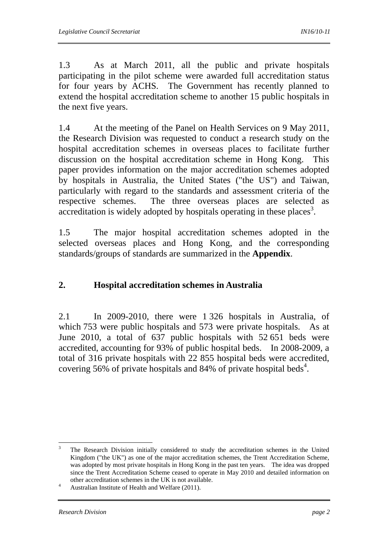1.3 As at March 2011, all the public and private hospitals participating in the pilot scheme were awarded full accreditation status for four years by ACHS. The Government has recently planned to extend the hospital accreditation scheme to another 15 public hospitals in the next five years.

1.4 At the meeting of the Panel on Health Services on 9 May 2011, the Research Division was requested to conduct a research study on the hospital accreditation schemes in overseas places to facilitate further discussion on the hospital accreditation scheme in Hong Kong. This paper provides information on the major accreditation schemes adopted by hospitals in Australia, the United States ("the US") and Taiwan, particularly with regard to the standards and assessment criteria of the respective schemes. The three overseas places are selected as accreditation is widely adopted by hospitals operating in these places<sup>3</sup>.

1.5 The major hospital accreditation schemes adopted in the selected overseas places and Hong Kong, and the corresponding standards/groups of standards are summarized in the **Appendix**.

## **2. Hospital accreditation schemes in Australia**

2.1 In 2009-2010, there were 1 326 hospitals in Australia, of which 753 were public hospitals and 573 were private hospitals. As at June 2010, a total of 637 public hospitals with 52 651 beds were accredited, accounting for 93% of public hospital beds. In 2008-2009, a total of 316 private hospitals with 22 855 hospital beds were accredited, covering  $56\%$  of private hospitals and 84% of private hospital beds<sup>4</sup>.

 $\frac{1}{3}$  The Research Division initially considered to study the accreditation schemes in the United Kingdom ("the UK") as one of the major accreditation schemes, the Trent Accreditation Scheme, was adopted by most private hospitals in Hong Kong in the past ten years. The idea was dropped since the Trent Accreditation Scheme ceased to operate in May 2010 and detailed information on other accreditation schemes in the UK is not available.

Australian Institute of Health and Welfare (2011).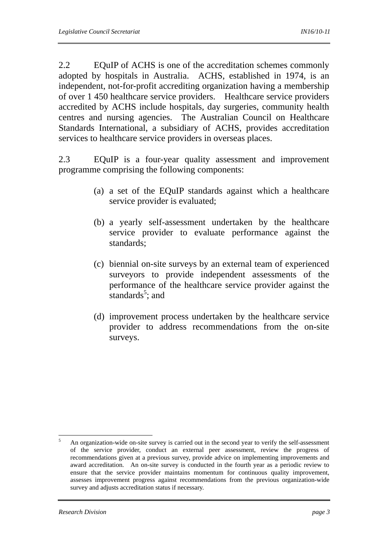2.2 EQuIP of ACHS is one of the accreditation schemes commonly adopted by hospitals in Australia. ACHS, established in 1974, is an independent, not-for-profit accrediting organization having a membership of over 1 450 healthcare service providers. Healthcare service providers accredited by ACHS include hospitals, day surgeries, community health centres and nursing agencies. The Australian Council on Healthcare Standards International, a subsidiary of ACHS, provides accreditation services to healthcare service providers in overseas places.

2.3 EQuIP is a four-year quality assessment and improvement programme comprising the following components:

- (a) a set of the EQuIP standards against which a healthcare service provider is evaluated;
- (b) a yearly self-assessment undertaken by the healthcare service provider to evaluate performance against the standards;
- (c) biennial on-site surveys by an external team of experienced surveyors to provide independent assessments of the performance of the healthcare service provider against the standards $5$ ; and
- (d) improvement process undertaken by the healthcare service provider to address recommendations from the on-site surveys.

 $\frac{1}{5}$  An organization-wide on-site survey is carried out in the second year to verify the self-assessment of the service provider, conduct an external peer assessment, review the progress of recommendations given at a previous survey, provide advice on implementing improvements and award accreditation. An on-site survey is conducted in the fourth year as a periodic review to ensure that the service provider maintains momentum for continuous quality improvement, assesses improvement progress against recommendations from the previous organization-wide survey and adjusts accreditation status if necessary.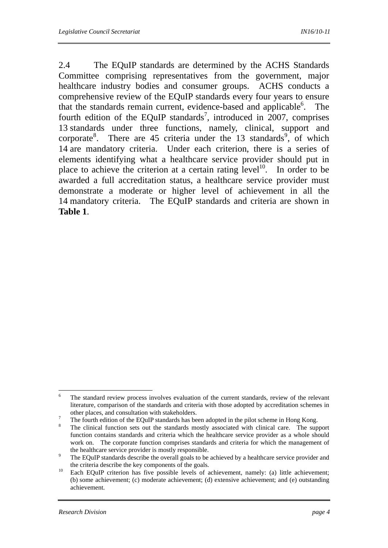2.4 The EQuIP standards are determined by the ACHS Standards Committee comprising representatives from the government, major healthcare industry bodies and consumer groups. ACHS conducts a comprehensive review of the EQuIP standards every four years to ensure that the standards remain current, evidence-based and applicable<sup>6</sup>. The fourth edition of the EQuIP standards<sup>7</sup>, introduced in 2007, comprises 13 standards under three functions, namely, clinical, support and corporate<sup>8</sup>. There are 45 criteria under the 13 standards<sup>9</sup>, of which 14 are mandatory criteria. Under each criterion, there is a series of elements identifying what a healthcare service provider should put in place to achieve the criterion at a certain rating  $level<sup>10</sup>$ . In order to be awarded a full accreditation status, a healthcare service provider must demonstrate a moderate or higher level of achievement in all the 14 mandatory criteria. The EQuIP standards and criteria are shown in **Table 1**.

 $\frac{1}{6}$  The standard review process involves evaluation of the current standards, review of the relevant literature, comparison of the standards and criteria with those adopted by accreditation schemes in other places, and consultation with stakeholders.

The fourth edition of the EQuIP standards has been adopted in the pilot scheme in Hong Kong. 8

The clinical function sets out the standards mostly associated with clinical care. The support function contains standards and criteria which the healthcare service provider as a whole should work on. The corporate function comprises standards and criteria for which the management of the healthcare service provider is mostly responsible.

The EQuIP standards describe the overall goals to be achieved by a healthcare service provider and

the criteria describe the key components of the goals.<br><sup>10</sup> Each EQuIP criterion has five possible levels of achievement, namely: (a) little achievement; (b) some achievement; (c) moderate achievement; (d) extensive achievement; and (e) outstanding achievement.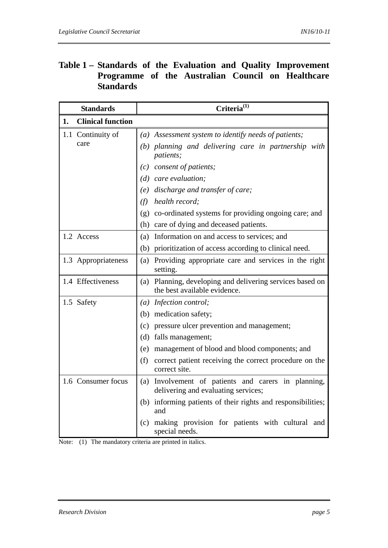### **Table 1 – Standards of the Evaluation and Quality Improvement Programme of the Australian Council on Healthcare Standards**

| Criteria <sup>(1)</sup><br><b>Standards</b> |                                                                                            |  |
|---------------------------------------------|--------------------------------------------------------------------------------------------|--|
| <b>Clinical function</b><br>1.              |                                                                                            |  |
| 1.1 Continuity of                           | (a) Assessment system to identify needs of patients;                                       |  |
| care                                        | (b) planning and delivering care in partnership with<br><i>patients;</i>                   |  |
|                                             | (c) consent of patients;                                                                   |  |
|                                             | $(d)$ care evaluation;                                                                     |  |
|                                             | (e) discharge and transfer of care;                                                        |  |
|                                             | health record:<br>(f)                                                                      |  |
|                                             | (g) co-ordinated systems for providing ongoing care; and                                   |  |
|                                             | (h) care of dying and deceased patients.                                                   |  |
| 1.2 Access                                  | (a) Information on and access to services; and                                             |  |
|                                             | (b) prioritization of access according to clinical need.                                   |  |
| 1.3 Appropriateness                         | Providing appropriate care and services in the right<br>(a)<br>setting.                    |  |
| 1.4 Effectiveness                           | (a) Planning, developing and delivering services based on<br>the best available evidence.  |  |
| 1.5 Safety                                  | (a) Infection control;                                                                     |  |
|                                             | (b) medication safety;                                                                     |  |
|                                             | (c) pressure ulcer prevention and management;                                              |  |
|                                             | (d) falls management;                                                                      |  |
|                                             | (e) management of blood and blood components; and                                          |  |
|                                             | (f)<br>correct patient receiving the correct procedure on the<br>correct site.             |  |
| 1.6 Consumer focus                          | (a) Involvement of patients and carers in planning,<br>delivering and evaluating services; |  |
|                                             | (b) informing patients of their rights and responsibilities;<br>and                        |  |
|                                             | making provision for patients with cultural and<br>(c)<br>special needs.                   |  |

Note: (1) The mandatory criteria are printed in italics.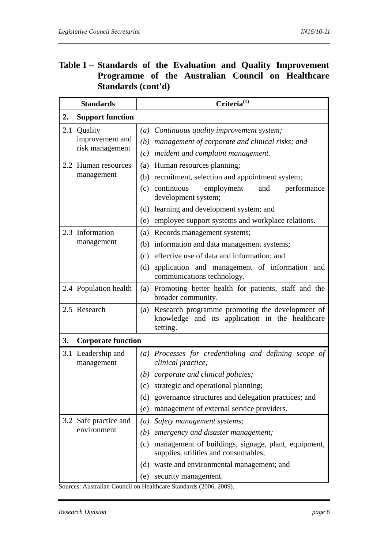### **Table 1 – Standards of the Evaluation and Quality Improvement Programme of the Australian Council on Healthcare Standards (cont'd)**

| <b>Standards</b> |                                  |                                                                                                    | Criteria <sup>(1)</sup>                                                                                            |  |  |  |
|------------------|----------------------------------|----------------------------------------------------------------------------------------------------|--------------------------------------------------------------------------------------------------------------------|--|--|--|
| 2.               | <b>Support function</b>          |                                                                                                    |                                                                                                                    |  |  |  |
|                  | 2.1 Quality                      | (a)                                                                                                | Continuous quality improvement system;                                                                             |  |  |  |
|                  | improvement and                  |                                                                                                    | (b) management of corporate and clinical risks; and                                                                |  |  |  |
|                  | risk management                  | (c)                                                                                                | incident and complaint management.                                                                                 |  |  |  |
|                  | 2.2 Human resources              | (a)                                                                                                | Human resources planning;                                                                                          |  |  |  |
|                  | management                       |                                                                                                    | (b) recruitment, selection and appointment system;                                                                 |  |  |  |
|                  |                                  | (c)                                                                                                | continuous<br>employment<br>performance<br>and<br>development system;                                              |  |  |  |
|                  |                                  |                                                                                                    | (d) learning and development system; and                                                                           |  |  |  |
|                  |                                  | (e)                                                                                                | employee support systems and workplace relations.                                                                  |  |  |  |
|                  | 2.3 Information                  | (a)                                                                                                | Records management systems;                                                                                        |  |  |  |
|                  | management                       |                                                                                                    | (b) information and data management systems;                                                                       |  |  |  |
|                  |                                  |                                                                                                    | (c) effective use of data and information; and                                                                     |  |  |  |
|                  |                                  | (d)                                                                                                | application and management of information<br>and<br>communications technology.                                     |  |  |  |
|                  | 2.4 Population health            | (a)                                                                                                | Promoting better health for patients, staff and the<br>broader community.                                          |  |  |  |
|                  | 2.5 Research                     |                                                                                                    | (a) Research programme promoting the development of<br>knowledge and its application in the healthcare<br>setting. |  |  |  |
| 3.               | <b>Corporate function</b>        |                                                                                                    |                                                                                                                    |  |  |  |
|                  | 3.1 Leadership and<br>management |                                                                                                    | (a) Processes for credentialing and defining scope of<br>clinical practice;                                        |  |  |  |
|                  |                                  |                                                                                                    | $(b)$ corporate and clinical policies;                                                                             |  |  |  |
|                  |                                  | (c)                                                                                                | strategic and operational planning;                                                                                |  |  |  |
|                  |                                  |                                                                                                    | (d) governance structures and delegation practices; and                                                            |  |  |  |
|                  |                                  | (e)                                                                                                | management of external service providers.                                                                          |  |  |  |
|                  | 3.2 Safe practice and            | $\left(a\right)$                                                                                   | Safety management systems;                                                                                         |  |  |  |
|                  | environment                      | (b)                                                                                                | emergency and disaster management;                                                                                 |  |  |  |
|                  |                                  | management of buildings, signage, plant, equipment,<br>(c)<br>supplies, utilities and consumables; |                                                                                                                    |  |  |  |
|                  |                                  |                                                                                                    | (d) waste and environmental management; and                                                                        |  |  |  |
|                  |                                  | (e)                                                                                                | security management.                                                                                               |  |  |  |

Sources: Australian Council on Healthcare Standards (2006, 2009).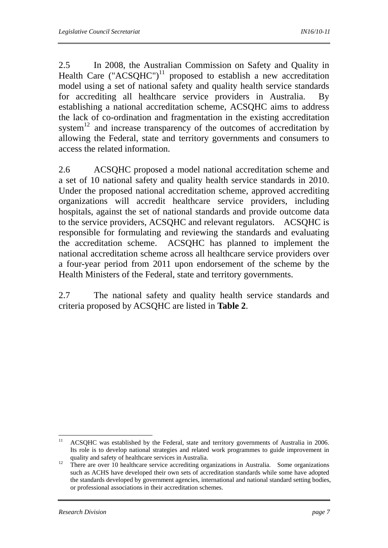2.5 In 2008, the Australian Commission on Safety and Quality in Health Care ("ACSQHC")<sup>11</sup> proposed to establish a new accreditation model using a set of national safety and quality health service standards for accrediting all healthcare service providers in Australia. By establishing a national accreditation scheme, ACSQHC aims to address the lack of co-ordination and fragmentation in the existing accreditation system $12$  and increase transparency of the outcomes of accreditation by allowing the Federal, state and territory governments and consumers to access the related information.

2.6 ACSQHC proposed a model national accreditation scheme and a set of 10 national safety and quality health service standards in 2010. Under the proposed national accreditation scheme, approved accrediting organizations will accredit healthcare service providers, including hospitals, against the set of national standards and provide outcome data to the service providers, ACSQHC and relevant regulators. ACSQHC is responsible for formulating and reviewing the standards and evaluating the accreditation scheme. ACSQHC has planned to implement the national accreditation scheme across all healthcare service providers over a four-year period from 2011 upon endorsement of the scheme by the Health Ministers of the Federal, state and territory governments.

2.7 The national safety and quality health service standards and criteria proposed by ACSQHC are listed in **Table 2**.

 $11$ 11 ACSQHC was established by the Federal, state and territory governments of Australia in 2006. Its role is to develop national strategies and related work programmes to guide improvement in

<sup>&</sup>lt;sup>12</sup> There are over 10 healthcare services in Australia. <sup>12</sup> There are over 10 healthcare service accrediting organizations in Australia. Some organizations such as ACHS have developed their own sets of accreditation standards while some have adopted the standards developed by government agencies, international and national standard setting bodies, or professional associations in their accreditation schemes.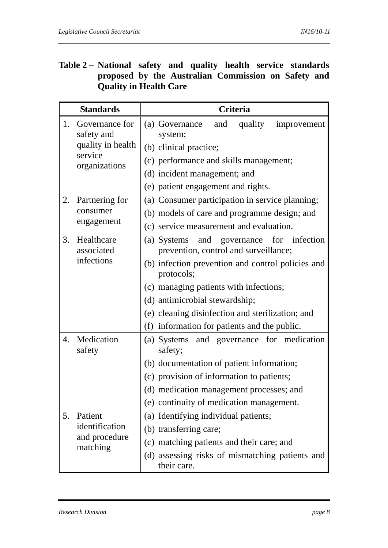### **Table 2 – National safety and quality health service standards proposed by the Australian Commission on Safety and Quality in Health Care**

|    | <b>Standards</b>                                                              | <b>Criteria</b>                                                                                                                                                                                                                                                                                                                            |  |  |
|----|-------------------------------------------------------------------------------|--------------------------------------------------------------------------------------------------------------------------------------------------------------------------------------------------------------------------------------------------------------------------------------------------------------------------------------------|--|--|
| 1. | Governance for<br>safety and<br>quality in health<br>service<br>organizations | and<br>quality<br>(a) Governance<br>improvement<br>system;<br>(b) clinical practice;<br>(c) performance and skills management;<br>(d) incident management; and                                                                                                                                                                             |  |  |
| 2. | Partnering for<br>consumer<br>engagement                                      | (e) patient engagement and rights.<br>(a) Consumer participation in service planning;<br>(b) models of care and programme design; and<br>(c) service measurement and evaluation.                                                                                                                                                           |  |  |
| 3. | Healthcare<br>associated<br>infections                                        | for infection<br>and governance<br>(a) Systems<br>prevention, control and surveillance;<br>(b) infection prevention and control policies and<br>protocols;<br>(c) managing patients with infections;<br>(d) antimicrobial stewardship;<br>(e) cleaning disinfection and sterilization; and<br>(f) information for patients and the public. |  |  |
| 4. | Medication<br>safety                                                          | and governance for medication<br>(a) Systems<br>safety;<br>(b) documentation of patient information;<br>(c) provision of information to patients;<br>(d) medication management processes; and<br>(e) continuity of medication management.                                                                                                  |  |  |
| 5. | Patient<br>identification<br>and procedure<br>matching                        | (a) Identifying individual patients;<br>(b) transferring care;<br>(c) matching patients and their care; and<br>(d) assessing risks of mismatching patients and<br>their care.                                                                                                                                                              |  |  |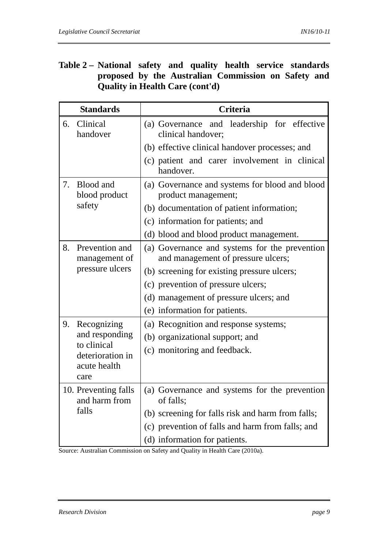### **Table 2 – National safety and quality health service standards proposed by the Australian Commission on Safety and Quality in Health Care (cont'd)**

| <b>Standards</b>                      | Criteria                                                                            |  |  |
|---------------------------------------|-------------------------------------------------------------------------------------|--|--|
| Clinical<br>6.<br>handover            | (a) Governance and leadership for effective<br>clinical handover;                   |  |  |
|                                       | (b) effective clinical handover processes; and                                      |  |  |
|                                       | (c) patient and carer involvement in clinical<br>handover.                          |  |  |
| 7.<br>Blood and<br>blood product      | (a) Governance and systems for blood and blood<br>product management;               |  |  |
| safety                                | (b) documentation of patient information;                                           |  |  |
|                                       | (c) information for patients; and                                                   |  |  |
|                                       | (d) blood and blood product management.                                             |  |  |
| Prevention and<br>8.<br>management of | (a) Governance and systems for the prevention<br>and management of pressure ulcers; |  |  |
| pressure ulcers                       | (b) screening for existing pressure ulcers;                                         |  |  |
|                                       | (c) prevention of pressure ulcers;                                                  |  |  |
|                                       | (d) management of pressure ulcers; and                                              |  |  |
|                                       | (e) information for patients.                                                       |  |  |
| 9.<br>Recognizing                     | (a) Recognition and response systems;                                               |  |  |
| and responding                        | (b) organizational support; and                                                     |  |  |
| to clinical<br>deterioration in       | (c) monitoring and feedback.                                                        |  |  |
| acute health<br>care                  |                                                                                     |  |  |
| 10. Preventing falls<br>and harm from | (a) Governance and systems for the prevention<br>of falls;                          |  |  |
| falls                                 | (b) screening for falls risk and harm from falls;                                   |  |  |
|                                       | (c) prevention of falls and harm from falls; and                                    |  |  |
|                                       | (d) information for patients.                                                       |  |  |

Source: Australian Commission on Safety and Quality in Health Care (2010a).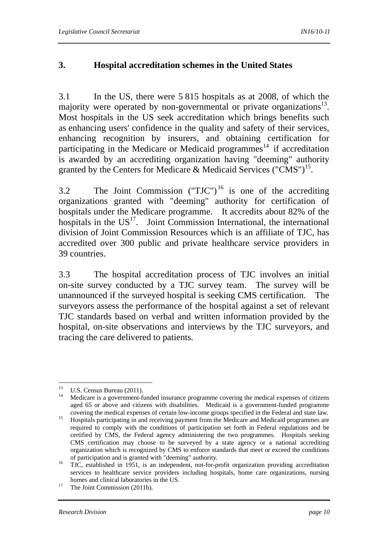#### **3. Hospital accreditation schemes in the United States**

3.1 In the US, there were 5 815 hospitals as at 2008, of which the majority were operated by non-governmental or private organizations<sup>13</sup>. Most hospitals in the US seek accreditation which brings benefits such as enhancing users' confidence in the quality and safety of their services, enhancing recognition by insurers, and obtaining certification for participating in the Medicare or Medicaid programmes<sup>14</sup> if accreditation is awarded by an accrediting organization having "deeming" authority granted by the Centers for Medicare & Medicaid Services ("CMS")<sup>15</sup>.

3.2 The Joint Commission  $(TJC'')^{16}$  is one of the accrediting organizations granted with "deeming" authority for certification of hospitals under the Medicare programme. It accredits about 82% of the hospitals in the  $US<sup>17</sup>$ . Joint Commission International, the international division of Joint Commission Resources which is an affiliate of TJC, has accredited over 300 public and private healthcare service providers in 39 countries.

3.3 The hospital accreditation process of TJC involves an initial on-site survey conducted by a TJC survey team. The survey will be unannounced if the surveyed hospital is seeking CMS certification. The surveyors assess the performance of the hospital against a set of relevant TJC standards based on verbal and written information provided by the hospital, on-site observations and interviews by the TJC surveyors, and tracing the care delivered to patients.

<sup>13</sup> <sup>13</sup> U.S. Census Bureau (2011).

<sup>14</sup> Medicare is a government-funded insurance programme covering the medical expenses of citizens aged 65 or above and citizens with disabilities. Medicaid is a government-funded programme

covering the medical expenses of certain low-income groups specified in the Federal and state law. 15 Hospitals participating in and receiving payment from the Medicare and Medicaid programmes are required to comply with the conditions of participation set forth in Federal regulations and be certified by CMS, the Federal agency administering the two programmes. Hospitals seeking CMS certification may choose to be surveyed by a state agency or a national accrediting organization which is recognized by CMS to enforce standards that meet or exceed the conditions

of participation and is granted with "deeming" authority. 16 TJC, established in 1951, is an independent, not-for-profit organization providing accreditation services to healthcare service providers including hospitals, home care organizations, nursing homes and clinical laboratories in the US.<br><sup>17</sup> The Joint Commission (2011b).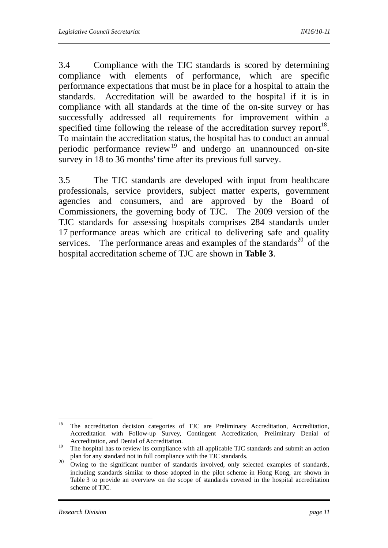3.4 Compliance with the TJC standards is scored by determining compliance with elements of performance, which are specific performance expectations that must be in place for a hospital to attain the standards. Accreditation will be awarded to the hospital if it is in compliance with all standards at the time of the on-site survey or has successfully addressed all requirements for improvement within a specified time following the release of the accreditation survey report<sup>18</sup>. To maintain the accreditation status, the hospital has to conduct an annual periodic performance review<sup>19</sup> and undergo an unannounced on-site survey in 18 to 36 months' time after its previous full survey.

3.5 The TJC standards are developed with input from healthcare professionals, service providers, subject matter experts, government agencies and consumers, and are approved by the Board of Commissioners, the governing body of TJC. The 2009 version of the TJC standards for assessing hospitals comprises 284 standards under 17 performance areas which are critical to delivering safe and quality services. The performance areas and examples of the standards<sup>20</sup> of the hospital accreditation scheme of TJC are shown in **Table 3**.

<sup>18</sup> The accreditation decision categories of TJC are Preliminary Accreditation, Accreditation, Accreditation with Follow-up Survey, Contingent Accreditation, Preliminary Denial of Accreditation, and Denial of Accreditation.

<sup>&</sup>lt;sup>19</sup> The hospital has to review its compliance with all applicable TJC standards and submit an action plan for any standard not in full compliance with the TJC standards.

<sup>&</sup>lt;sup>20</sup> Owing to the significant number of standards involved, only selected examples of standards, including standards similar to those adopted in the pilot scheme in Hong Kong, are shown in Table 3 to provide an overview on the scope of standards covered in the hospital accreditation scheme of TJC.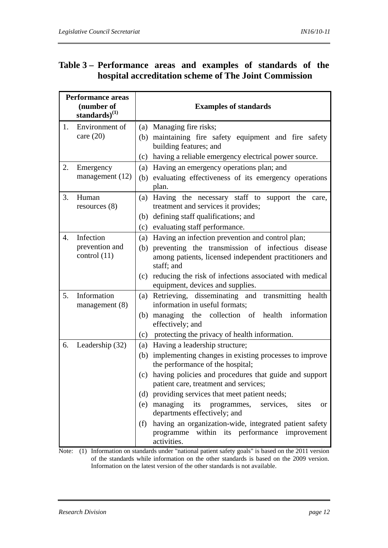### **Table 3 – Performance areas and examples of standards of the hospital accreditation scheme of The Joint Commission**

| Performance areas<br>(number of<br>standards) $^{(1)}$ |                                               | <b>Examples of standards</b>                                                                                                                                                                                                                                                                                                                                                                                                                                                                                                                   |
|--------------------------------------------------------|-----------------------------------------------|------------------------------------------------------------------------------------------------------------------------------------------------------------------------------------------------------------------------------------------------------------------------------------------------------------------------------------------------------------------------------------------------------------------------------------------------------------------------------------------------------------------------------------------------|
| 1.                                                     | Environment of<br>care $(20)$                 | (a) Managing fire risks;<br>(b) maintaining fire safety equipment and fire safety<br>building features; and<br>(c) having a reliable emergency electrical power source.                                                                                                                                                                                                                                                                                                                                                                        |
| 2.                                                     | Emergency<br>management (12)                  | (a) Having an emergency operations plan; and<br>evaluating effectiveness of its emergency operations<br>(b)<br>plan.                                                                                                                                                                                                                                                                                                                                                                                                                           |
| 3.                                                     | Human<br>resources $(8)$                      | Having the necessary staff to support the care,<br>(a)<br>treatment and services it provides;<br>(b) defining staff qualifications; and<br>(c) evaluating staff performance.                                                                                                                                                                                                                                                                                                                                                                   |
| $\overline{4}$ .                                       | Infection<br>prevention and<br>control $(11)$ | (a) Having an infection prevention and control plan;<br>(b) preventing the transmission of infectious disease<br>among patients, licensed independent practitioners and<br>staff; and<br>reducing the risk of infections associated with medical<br>(c)<br>equipment, devices and supplies.                                                                                                                                                                                                                                                    |
| 5.                                                     | Information<br>management $(8)$               | (a) Retrieving, disseminating and transmitting health<br>information in useful formats;<br>(b) managing the collection of health information<br>effectively; and<br>(c) protecting the privacy of health information.                                                                                                                                                                                                                                                                                                                          |
| 6.                                                     | Leadership (32)                               | Having a leadership structure;<br>(a)<br>(b) implementing changes in existing processes to improve<br>the performance of the hospital;<br>having policies and procedures that guide and support<br>(c)<br>patient care, treatment and services;<br>(d) providing services that meet patient needs;<br>managing<br>programmes,<br>its<br>(e)<br>services,<br>sites<br><b>or</b><br>departments effectively; and<br>having an organization-wide, integrated patient safety<br>(f)<br>programme within its performance improvement<br>activities. |

Note: (1) Information on standards under "national patient safety goals" is based on the 2011 version of the standards while information on the other standards is based on the 2009 version. Information on the latest version of the other standards is not available.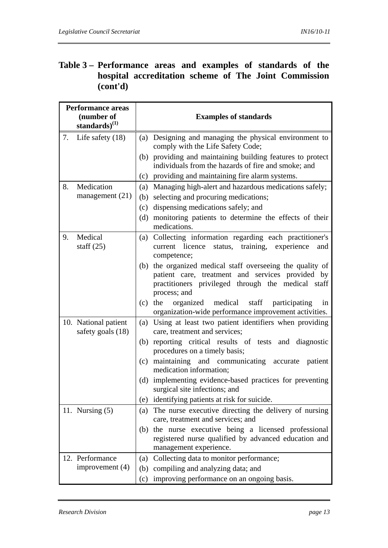### **Table 3 – Performance areas and examples of standards of the hospital accreditation scheme of The Joint Commission (cont'd)**

| <b>Performance areas</b><br>(number of<br>standards) $^{(1)}$ |                                           |     | <b>Examples of standards</b>                                                                                                                                                    |  |  |  |
|---------------------------------------------------------------|-------------------------------------------|-----|---------------------------------------------------------------------------------------------------------------------------------------------------------------------------------|--|--|--|
| 7.                                                            | Life safety $(18)$                        |     | (a) Designing and managing the physical environment to<br>comply with the Life Safety Code;                                                                                     |  |  |  |
|                                                               |                                           |     | (b) providing and maintaining building features to protect<br>individuals from the hazards of fire and smoke; and                                                               |  |  |  |
|                                                               |                                           | (c) | providing and maintaining fire alarm systems.                                                                                                                                   |  |  |  |
| 8.                                                            | Medication                                | (a) | Managing high-alert and hazardous medications safely;                                                                                                                           |  |  |  |
|                                                               | management $(21)$                         |     | (b) selecting and procuring medications;                                                                                                                                        |  |  |  |
|                                                               |                                           | (c) | dispensing medications safely; and                                                                                                                                              |  |  |  |
|                                                               |                                           | (d) | monitoring patients to determine the effects of their<br>medications.                                                                                                           |  |  |  |
| 9.                                                            | Medical<br>staff $(25)$                   | (a) | Collecting information regarding each practitioner's<br>current licence<br>training, experience<br>status,<br>and<br>competence;                                                |  |  |  |
|                                                               |                                           | (b) | the organized medical staff overseeing the quality of<br>patient care, treatment and services provided by<br>practitioners privileged through the medical staff<br>process; and |  |  |  |
|                                                               |                                           |     | (c) the organized medical staff participating<br>in<br>organization-wide performance improvement activities.                                                                    |  |  |  |
|                                                               | 10. National patient<br>safety goals (18) |     | (a) Using at least two patient identifiers when providing<br>care, treatment and services;                                                                                      |  |  |  |
|                                                               |                                           |     | (b) reporting critical results of tests and diagnostic<br>procedures on a timely basis;                                                                                         |  |  |  |
|                                                               |                                           | (c) | maintaining and communicating accurate patient<br>medication information;                                                                                                       |  |  |  |
|                                                               |                                           | (d) | implementing evidence-based practices for preventing<br>surgical site infections; and                                                                                           |  |  |  |
|                                                               |                                           | (e) | identifying patients at risk for suicide.                                                                                                                                       |  |  |  |
|                                                               | 11. Nursing $(5)$                         | (a) | The nurse executive directing the delivery of nursing<br>care, treatment and services; and                                                                                      |  |  |  |
|                                                               |                                           | (b) | the nurse executive being a licensed professional<br>registered nurse qualified by advanced education and<br>management experience.                                             |  |  |  |
|                                                               | 12. Performance                           | (a) | Collecting data to monitor performance;                                                                                                                                         |  |  |  |
|                                                               | improvement $(4)$                         | (b) | compiling and analyzing data; and                                                                                                                                               |  |  |  |
|                                                               |                                           |     | (c) improving performance on an ongoing basis.                                                                                                                                  |  |  |  |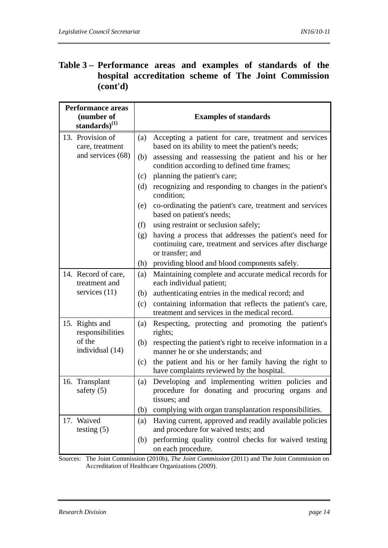### **Table 3 – Performance areas and examples of standards of the hospital accreditation scheme of The Joint Commission (cont'd)**

| <b>Performance areas</b><br>(number of<br>standards) $^{(1)}$                                 | <b>Examples of standards</b>                                                                                                                 |  |  |
|-----------------------------------------------------------------------------------------------|----------------------------------------------------------------------------------------------------------------------------------------------|--|--|
| 13. Provision of<br>care, treatment                                                           | Accepting a patient for care, treatment and services<br>(a)<br>based on its ability to meet the patient's needs;                             |  |  |
| and services (68)                                                                             | assessing and reassessing the patient and his or her<br>(b)<br>condition according to defined time frames;                                   |  |  |
|                                                                                               | planning the patient's care;<br>(c)                                                                                                          |  |  |
|                                                                                               | recognizing and responding to changes in the patient's<br>(d)<br>condition;                                                                  |  |  |
|                                                                                               | co-ordinating the patient's care, treatment and services<br>(e)<br>based on patient's needs;                                                 |  |  |
|                                                                                               | using restraint or seclusion safely;<br>(f)                                                                                                  |  |  |
|                                                                                               | having a process that addresses the patient's need for<br>(g)<br>continuing care, treatment and services after discharge<br>or transfer; and |  |  |
|                                                                                               | providing blood and blood components safely.<br>(h)                                                                                          |  |  |
| 14. Record of care,<br>treatment and                                                          | Maintaining complete and accurate medical records for<br>(a)<br>each individual patient;                                                     |  |  |
| services $(11)$                                                                               | authenticating entries in the medical record; and<br>(b)                                                                                     |  |  |
|                                                                                               | (c)<br>containing information that reflects the patient's care,<br>treatment and services in the medical record.                             |  |  |
| 15. Rights and<br>responsibilities                                                            | Respecting, protecting and promoting the patient's<br>(a)<br>rights;                                                                         |  |  |
| of the<br>individual (14)                                                                     | respecting the patient's right to receive information in a<br>(b)<br>manner he or she understands; and                                       |  |  |
|                                                                                               | the patient and his or her family having the right to<br>(c)<br>have complaints reviewed by the hospital.                                    |  |  |
| 16. Transplant<br>safety $(5)$                                                                | Developing and implementing written policies and<br>(a)<br>procedure for donating and procuring organs and<br>tissues; and                   |  |  |
|                                                                                               | complying with organ transplantation responsibilities.<br>(b)                                                                                |  |  |
| 17. Waived<br>testing $(5)$                                                                   | Having current, approved and readily available policies<br>(a)<br>and procedure for waived tests; and                                        |  |  |
|                                                                                               | performing quality control checks for waived testing<br>(b)<br>on each procedure.                                                            |  |  |
| Sources: The Joint Commission (2010b) The Loint Commission (2011) and The Joint Commission on |                                                                                                                                              |  |  |

Sources: The Joint Commission (2010b), *The Joint Commission* (2011) and The Joint Commission on Accreditation of Healthcare Organizations (2009).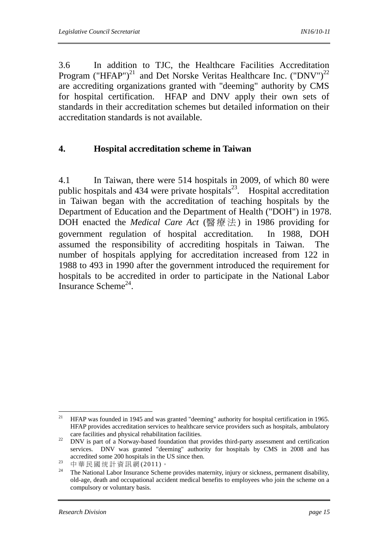3.6 In addition to TJC, the Healthcare Facilities Accreditation Program ("HFAP")<sup>21</sup> and Det Norske Veritas Healthcare Inc. ("DNV")<sup>22</sup> are accrediting organizations granted with "deeming" authority by CMS for hospital certification. HFAP and DNV apply their own sets of standards in their accreditation schemes but detailed information on their accreditation standards is not available.

#### **4. Hospital accreditation scheme in Taiwan**

4.1 In Taiwan, there were 514 hospitals in 2009, of which 80 were public hospitals and 434 were private hospitals<sup>23</sup>. Hospital accreditation in Taiwan began with the accreditation of teaching hospitals by the Department of Education and the Department of Health ("DOH") in 1978. DOH enacted the *Medical Care Act* (醫療法) in 1986 providing for government regulation of hospital accreditation. In 1988, DOH assumed the responsibility of accrediting hospitals in Taiwan. The number of hospitals applying for accreditation increased from 122 in 1988 to 493 in 1990 after the government introduced the requirement for hospitals to be accredited in order to participate in the National Labor Insurance Scheme<sup>24</sup>.

 $21$ 21 HFAP was founded in 1945 and was granted "deeming" authority for hospital certification in 1965. HFAP provides accreditation services to healthcare service providers such as hospitals, ambulatory

care facilities and physical rehabilitation facilities. 22 DNV is part of a Norway-based foundation that provides third-party assessment and certification services. DNV was granted "deeming" authority for hospitals by CMS in 2008 and has accredited some 200 hospitals in the US since then.<br><sup>23</sup> 中華民國统計資訊網 (2011)。

<sup>&</sup>lt;sup>24</sup> The National Labor Insurance Scheme provides maternity, injury or sickness, permanent disability, old-age, death and occupational accident medical benefits to employees who join the scheme on a compulsory or voluntary basis.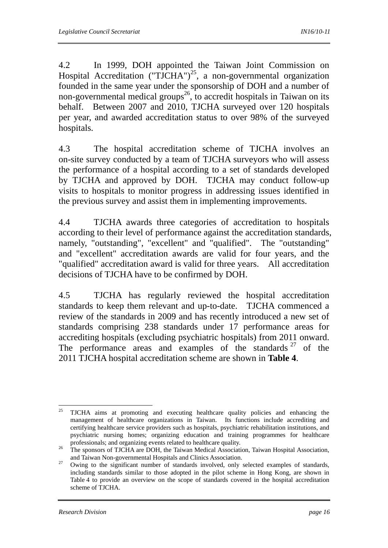4.2 In 1999, DOH appointed the Taiwan Joint Commission on Hospital Accreditation ("TJCHA")<sup>25</sup>, a non-governmental organization founded in the same year under the sponsorship of DOH and a number of non-governmental medical groups<sup>26</sup>, to accredit hospitals in Taiwan on its behalf. Between 2007 and 2010, TJCHA surveyed over 120 hospitals per year, and awarded accreditation status to over 98% of the surveyed hospitals.

4.3 The hospital accreditation scheme of TJCHA involves an on-site survey conducted by a team of TJCHA surveyors who will assess the performance of a hospital according to a set of standards developed by TJCHA and approved by DOH. TJCHA may conduct follow-up visits to hospitals to monitor progress in addressing issues identified in the previous survey and assist them in implementing improvements.

4.4 TJCHA awards three categories of accreditation to hospitals according to their level of performance against the accreditation standards, namely, "outstanding", "excellent" and "qualified". The "outstanding" and "excellent" accreditation awards are valid for four years, and the "qualified" accreditation award is valid for three years. All accreditation decisions of TJCHA have to be confirmed by DOH.

4.5 TJCHA has regularly reviewed the hospital accreditation standards to keep them relevant and up-to-date. TJCHA commenced a review of the standards in 2009 and has recently introduced a new set of standards comprising 238 standards under 17 performance areas for accrediting hospitals (excluding psychiatric hospitals) from 2011 onward. The performance areas and examples of the standards  $27$  of the 2011 TJCHA hospital accreditation scheme are shown in **Table 4**.

<sup>25</sup> 25 TJCHA aims at promoting and executing healthcare quality policies and enhancing the management of healthcare organizations in Taiwan. Its functions include accrediting and certifying healthcare service providers such as hospitals, psychiatric rehabilitation institutions, and psychiatric nursing homes; organizing education and training programmes for healthcare

professionals; and organizing events related to healthcare quality.<br><sup>26</sup> The sponsors of TJCHA are DOH, the Taiwan Medical Association, Taiwan Hospital Association, and Taiwan Non-governmental Hospitals and Clinics Association. 27 Owing to the significant number of standards involved, only selected examples of standards,

including standards similar to those adopted in the pilot scheme in Hong Kong, are shown in Table 4 to provide an overview on the scope of standards covered in the hospital accreditation scheme of TJCHA.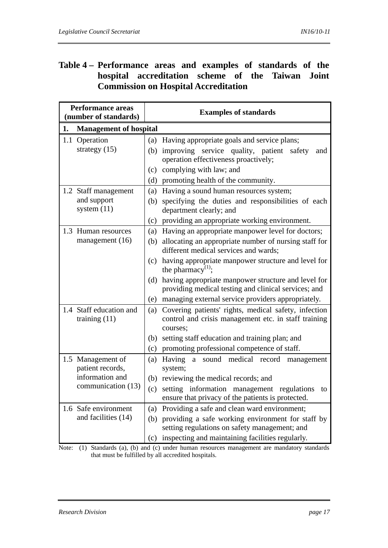### **Table 4 – Performance areas and examples of standards of the hospital accreditation scheme of the Taiwan Joint Commission on Hospital Accreditation**

|               | <b>Performance areas</b><br>(number of standards)                              | <b>Examples of standards</b>                                                                                                                                                                                                                                     |                  |  |
|---------------|--------------------------------------------------------------------------------|------------------------------------------------------------------------------------------------------------------------------------------------------------------------------------------------------------------------------------------------------------------|------------------|--|
| 1.            | <b>Management of hospital</b>                                                  |                                                                                                                                                                                                                                                                  |                  |  |
| 1.1 Operation | strategy $(15)$                                                                | (a) Having appropriate goals and service plans;<br>(b) improving service quality, patient<br>safety<br>and<br>operation effectiveness proactively;<br>complying with law; and<br>(c)<br>promoting health of the community.<br>(d)                                |                  |  |
|               | 1.2 Staff management<br>and support<br>system $(11)$                           | Having a sound human resources system;<br>(a)<br>specifying the duties and responsibilities of each<br>(b)<br>department clearly; and<br>providing an appropriate working environment.<br>(c)                                                                    |                  |  |
|               | 1.3 Human resources<br>management $(16)$                                       | Having an appropriate manpower level for doctors;<br>(a)<br>allocating an appropriate number of nursing staff for<br>(b)<br>different medical services and wards;<br>having appropriate manpower structure and level for<br>(c)<br>the pharmacy <sup>(1)</sup> ; |                  |  |
|               |                                                                                | having appropriate manpower structure and level for<br>(d)<br>providing medical testing and clinical services; and<br>(e) managing external service providers appropriately.                                                                                     |                  |  |
|               | 1.4 Staff education and<br>training $(11)$                                     | Covering patients' rights, medical safety, infection<br>(a)<br>control and crisis management etc. in staff training<br>courses;<br>setting staff education and training plan; and<br>(b)<br>promoting professional competence of staff.<br>(c)                   |                  |  |
|               | 1.5 Management of<br>patient records,<br>information and<br>communication (13) | Having a sound medical record<br>(a)<br>system;<br>reviewing the medical records; and<br>(b)<br>setting information management regulations<br>(c)<br>ensure that privacy of the patients is protected.                                                           | management<br>to |  |
|               | 1.6 Safe environment<br>and facilities (14)                                    | Providing a safe and clean ward environment;<br>(a)<br>providing a safe working environment for staff by<br>(b)<br>setting regulations on safety management; and<br>inspecting and maintaining facilities regularly.<br>(c)                                      |                  |  |

Note: (1) Standards (a), (b) and (c) under human resources management are mandatory standards that must be fulfilled by all accredited hospitals.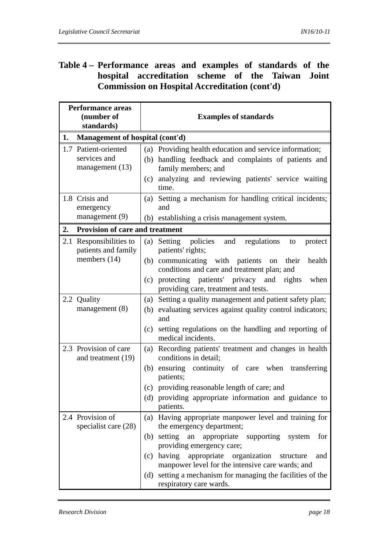### **Table 4 – Performance areas and examples of standards of the hospital accreditation scheme of the Taiwan Joint Commission on Hospital Accreditation (cont'd)**

|     | <b>Performance areas</b><br>(number of<br>standards)         | <b>Examples of standards</b> |                                                                                                                                                                                                      |  |  |
|-----|--------------------------------------------------------------|------------------------------|------------------------------------------------------------------------------------------------------------------------------------------------------------------------------------------------------|--|--|
| 1.  | Management of hospital (cont'd)                              |                              |                                                                                                                                                                                                      |  |  |
|     | 1.7 Patient-oriented<br>services and<br>management (13)      | (c)                          | (a) Providing health education and service information;<br>(b) handling feedback and complaints of patients and<br>family members; and<br>analyzing and reviewing patients' service waiting<br>time. |  |  |
|     | 1.8 Crisis and<br>emergency<br>management (9)                | (a)                          | Setting a mechanism for handling critical incidents;<br>and<br>(b) establishing a crisis management system.                                                                                          |  |  |
| 2.  | <b>Provision of care and treatment</b>                       |                              |                                                                                                                                                                                                      |  |  |
| 2.1 | Responsibilities to<br>patients and family<br>members $(14)$ | (a)                          | Setting policies<br>regulations<br>and<br>to<br>protect<br>patients' rights;<br>(b) communicating with patients on<br>their<br>health                                                                |  |  |
|     |                                                              |                              | conditions and care and treatment plan; and<br>(c) protecting patients' privacy and<br>rights<br>when<br>providing care, treatment and tests.                                                        |  |  |
|     | 2.2 Quality<br>management $(8)$                              | (a)<br>(b)                   | Setting a quality management and patient safety plan;<br>evaluating services against quality control indicators;<br>and                                                                              |  |  |
|     |                                                              | (c)                          | setting regulations on the handling and reporting of<br>medical incidents.                                                                                                                           |  |  |
|     | 2.3 Provision of care<br>and treatment (19)                  | (a)<br>(b)                   | Recording patients' treatment and changes in health<br>conditions in detail;<br>ensuring continuity of care when transferring                                                                        |  |  |
|     |                                                              | (c)                          | patients;<br>providing reasonable length of care; and                                                                                                                                                |  |  |
|     |                                                              |                              | (d) providing appropriate information and guidance to<br>patients.                                                                                                                                   |  |  |
|     | 2.4 Provision of<br>specialist care (28)                     |                              | (a) Having appropriate manpower level and training for<br>the emergency department;                                                                                                                  |  |  |
|     |                                                              |                              | (b) setting<br>an<br>appropriate supporting system<br>for<br>providing emergency care;                                                                                                               |  |  |
|     |                                                              |                              | (c) having appropriate organization<br>structure<br>and<br>manpower level for the intensive care wards; and                                                                                          |  |  |
|     |                                                              |                              | (d) setting a mechanism for managing the facilities of the<br>respiratory care wards.                                                                                                                |  |  |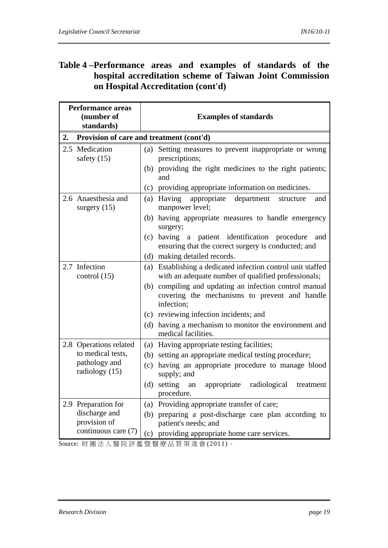### **Table 4 – Performance areas and examples of standards of the hospital accreditation scheme of Taiwan Joint Commission on Hospital Accreditation (cont'd)**

| <b>Performance areas</b><br>(number of<br>standards) | <b>Examples of standards</b>                                                                                                            |  |  |
|------------------------------------------------------|-----------------------------------------------------------------------------------------------------------------------------------------|--|--|
| 2.                                                   | Provision of care and treatment (cont'd)                                                                                                |  |  |
| 2.5 Medication<br>safety $(15)$                      | Setting measures to prevent inappropriate or wrong<br>(a)<br>prescriptions;<br>(b) providing the right medicines to the right patients; |  |  |
|                                                      | and<br>(c) providing appropriate information on medicines.                                                                              |  |  |
| 2.6 Anaesthesia and                                  | Having<br>appropriate<br>(a)<br>department<br>structure<br>and                                                                          |  |  |
| surgery $(15)$                                       | manpower level;                                                                                                                         |  |  |
|                                                      | (b) having appropriate measures to handle emergency<br>surgery;                                                                         |  |  |
|                                                      | $(c)$ having a<br>patient identification procedure<br>and<br>ensuring that the correct surgery is conducted; and                        |  |  |
|                                                      | (d) making detailed records.                                                                                                            |  |  |
| 2.7 Infection<br>control $(15)$                      | Establishing a dedicated infection control unit staffed<br>(a)<br>with an adequate number of qualified professionals;                   |  |  |
|                                                      | compiling and updating an infection control manual<br>(b)<br>covering the mechanisms to prevent and handle<br>infection;                |  |  |
|                                                      | (c) reviewing infection incidents; and                                                                                                  |  |  |
|                                                      | having a mechanism to monitor the environment and<br>(d)<br>medical facilities.                                                         |  |  |
| 2.8 Operations related                               | (a) Having appropriate testing facilities;                                                                                              |  |  |
| to medical tests,                                    | (b) setting an appropriate medical testing procedure;                                                                                   |  |  |
| pathology and<br>radiology (15)                      | having an appropriate procedure to manage blood<br>(c)<br>supply; and                                                                   |  |  |
|                                                      | (d) setting<br>appropriate<br>radiological<br>an<br>treatment<br>procedure.                                                             |  |  |
| 2.9 Preparation for                                  | (a) Providing appropriate transfer of care;                                                                                             |  |  |
| discharge and<br>provision of                        | (b) preparing a post-discharge care plan according to<br>patient's needs; and                                                           |  |  |
| continuous care (7)                                  | (c) providing appropriate home care services.                                                                                           |  |  |

Source: 財團法人醫院評鑑暨醫療品質策進會 (2011)。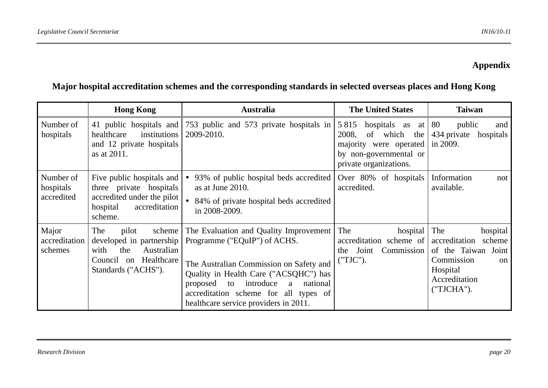## **Appendix**

## **Major hospital accreditation schemes and the corresponding standards in selected overseas places and Hong Kong**

|                                      | <b>Hong Kong</b>                                                                                                                   | <b>Australia</b>                                                                                                                                                                                                                                                                             | <b>The United States</b>                                                                                                                      | <b>Taiwan</b>                                                                                                             |
|--------------------------------------|------------------------------------------------------------------------------------------------------------------------------------|----------------------------------------------------------------------------------------------------------------------------------------------------------------------------------------------------------------------------------------------------------------------------------------------|-----------------------------------------------------------------------------------------------------------------------------------------------|---------------------------------------------------------------------------------------------------------------------------|
| Number of<br>hospitals               | 41 public hospitals and<br>institutions<br>healthcare<br>and 12 private hospitals<br>as at 2011.                                   | 753 public and 573 private hospitals in<br>2009-2010.                                                                                                                                                                                                                                        | hospitals as at $ 80 $<br>5 8 1 5<br>of which<br>2008,<br>the  <br>majority were operated<br>by non-governmental or<br>private organizations. | public<br>and<br>434 private<br>hospitals<br>in 2009.                                                                     |
| Number of<br>hospitals<br>accredited | Five public hospitals and<br>three private hospitals<br>accredited under the pilot<br>accreditation<br>hospital<br>scheme.         | 93% of public hospital beds accredited<br>as at June 2010.<br>84% of private hospital beds accredited<br>in 2008-2009.                                                                                                                                                                       | Over 80% of hospitals<br>accredited.                                                                                                          | Information<br>not<br>available.                                                                                          |
| Major<br>accreditation<br>schemes    | The<br>pilot<br>scheme<br>developed in partnership<br>Australian<br>with<br>the<br>Council on<br>Healthcare<br>Standards ("ACHS"). | The Evaluation and Quality Improvement<br>Programme ("EQuIP") of ACHS.<br>The Australian Commission on Safety and<br>Quality in Health Care ("ACSQHC") has<br>introduce<br>national<br>proposed<br>to<br>a<br>accreditation scheme for all types of<br>healthcare service providers in 2011. | The<br>hospital $\vert$ The<br>accreditation scheme of<br>Commission<br>Joint<br>the<br>("TJC").                                              | hospital<br>accreditation<br>scheme<br>of the Taiwan Joint<br>Commission<br>on<br>Hospital<br>Accreditation<br>("TJCHA"). |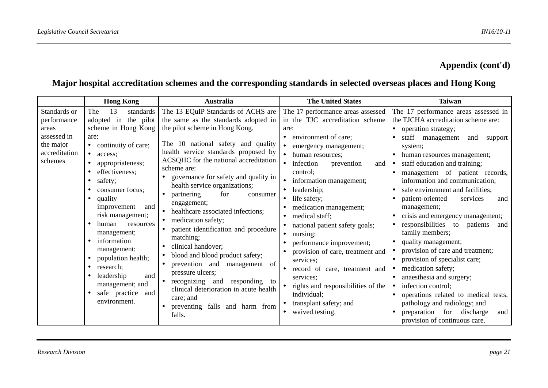### **Appendix (cont'd)**

## **Major hospital accreditation schemes and the corresponding standards in selected overseas places and Hong Kong**

|                                                                                              | <b>Hong Kong</b>                                                                                                                                                                                                                                                                                                                                                                                                                                                                   | <b>Australia</b>                                                                                                                                                                                                                                                                                                                                                                                                                                                                                                                                                                                                                                                                                                                                      | <b>The United States</b>                                                                                                                                                                                                                                                                                                                                                                                                                                                                                                                                                         | <b>Taiwan</b>                                                                                                                                                                                                                                                                                                                                                                                                                                                                                                                                                                                                                                                                                                                                                                                         |
|----------------------------------------------------------------------------------------------|------------------------------------------------------------------------------------------------------------------------------------------------------------------------------------------------------------------------------------------------------------------------------------------------------------------------------------------------------------------------------------------------------------------------------------------------------------------------------------|-------------------------------------------------------------------------------------------------------------------------------------------------------------------------------------------------------------------------------------------------------------------------------------------------------------------------------------------------------------------------------------------------------------------------------------------------------------------------------------------------------------------------------------------------------------------------------------------------------------------------------------------------------------------------------------------------------------------------------------------------------|----------------------------------------------------------------------------------------------------------------------------------------------------------------------------------------------------------------------------------------------------------------------------------------------------------------------------------------------------------------------------------------------------------------------------------------------------------------------------------------------------------------------------------------------------------------------------------|-------------------------------------------------------------------------------------------------------------------------------------------------------------------------------------------------------------------------------------------------------------------------------------------------------------------------------------------------------------------------------------------------------------------------------------------------------------------------------------------------------------------------------------------------------------------------------------------------------------------------------------------------------------------------------------------------------------------------------------------------------------------------------------------------------|
| Standards or<br>performance<br>areas<br>assessed in<br>the major<br>accreditation<br>schemes | The<br>standards<br>13<br>adopted in the pilot<br>scheme in Hong Kong<br>are:<br>continuity of care;<br>$\bullet$<br>$\bullet$<br>access:<br>appropriateness;<br>effectiveness:<br>safety;<br>consumer focus;<br>quality<br>improvement<br>and<br>risk management;<br>human<br>$\bullet$<br>resources<br>management;<br>information<br>management;<br>population health;<br>research;<br>leadership<br>and<br>management; and<br>safe practice<br>and<br>$\bullet$<br>environment. | The 13 EQuIP Standards of ACHS are<br>the same as the standards adopted in<br>the pilot scheme in Hong Kong.<br>The 10 national safety and quality<br>health service standards proposed by<br>ACSQHC for the national accreditation<br>scheme are:<br>governance for safety and quality in<br>health service organizations;<br>for<br>partnering<br>consumer<br>engagement;<br>healthcare associated infections;<br>medication safety;<br>patient identification and procedure<br>matching;<br>clinical handover;<br>blood and blood product safety;<br>prevention and<br>management<br>of<br>pressure ulcers;<br>recognizing and<br>responding to<br>clinical deterioration in acute health<br>care; and<br>preventing falls and harm from<br>falls. | The 17 performance areas assessed<br>in the TJC accreditation scheme<br>are:<br>environment of care;<br>emergency management;<br>human resources;<br>infection<br>prevention<br>and<br>control:<br>information management;<br>leadership;<br>life safety;<br>medication management;<br>medical staff;<br>national patient safety goals;<br>nursing;<br>performance improvement;<br>provision of care, treatment and<br>services;<br>record of care, treatment and<br>services;<br>rights and responsibilities of the<br>individual;<br>transplant safety; and<br>waived testing. | The 17 performance areas assessed in<br>the TJCHA accreditation scheme are:<br>• operation strategy;<br>staff management<br>and<br>support<br>system;<br>human resources management;<br>staff education and training;<br>management of patient records,<br>information and communication;<br>safe environment and facilities;<br>patient-oriented<br>services<br>and<br>management;<br>crisis and emergency management;<br>responsibilities to patients<br>and<br>family members;<br>quality management;<br>provision of care and treatment;<br>provision of specialist care;<br>medication safety;<br>anaesthesia and surgery;<br>infection control;<br>operations related to medical tests,<br>pathology and radiology; and<br>preparation for<br>discharge<br>and<br>provision of continuous care. |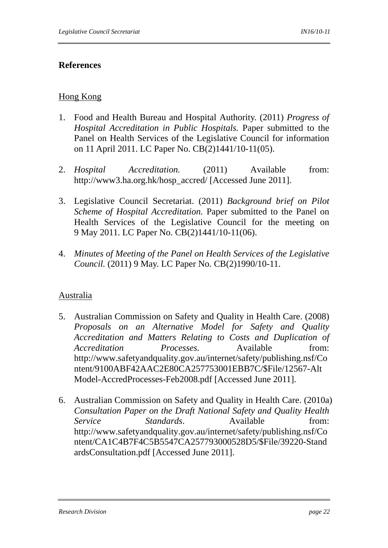#### **References**

#### Hong Kong

- 1. Food and Health Bureau and Hospital Authority. (2011) *Progress of Hospital Accreditation in Public Hospitals.* Paper submitted to the Panel on Health Services of the Legislative Council for information on 11 April 2011. LC Paper No. CB(2)1441/10-11(05).
- 2. *Hospital Accreditation.* (2011) Available from: http://www3.ha.org.hk/hosp\_accred/ [Accessed June 2011].
- 3. Legislative Council Secretariat. (2011) *Background brief on Pilot Scheme of Hospital Accreditation.* Paper submitted to the Panel on Health Services of the Legislative Council for the meeting on 9 May 2011. LC Paper No. CB(2)1441/10-11(06).
- 4. *Minutes of Meeting of the Panel on Health Services of the Legislative Council.* (2011) 9 May. LC Paper No. CB(2)1990/10-11.

#### Australia

- 5. Australian Commission on Safety and Quality in Health Care. (2008) *Proposals on an Alternative Model for Safety and Quality Accreditation and Matters Relating to Costs and Duplication of Accreditation Processes.* Available from: http://www.safetyandquality.gov.au/internet/safety/publishing.nsf/Co ntent/9100ABF42AAC2E80CA257753001EBB7C/\$File/12567-Alt Model-AccredProcesses-Feb2008.pdf [Accessed June 2011].
- 6. Australian Commission on Safety and Quality in Health Care. (2010a) *Consultation Paper on the Draft National Safety and Quality Health Service Standards*. Available from: http://www.safetyandquality.gov.au/internet/safety/publishing.nsf/Co ntent/CA1C4B7F4C5B5547CA257793000528D5/\$File/39220-Stand ardsConsultation.pdf [Accessed June 2011].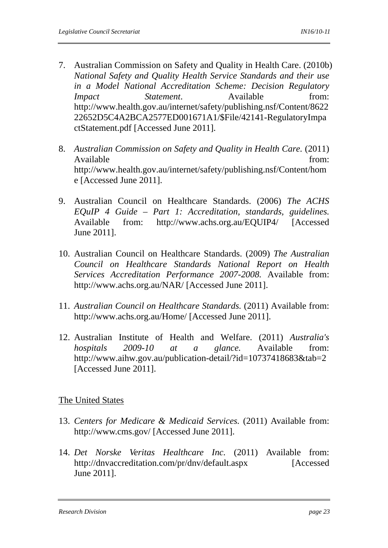- 7. Australian Commission on Safety and Quality in Health Care. (2010b) *National Safety and Quality Health Service Standards and their use in a Model National Accreditation Scheme: Decision Regulatory Impact Statement*. Available from: http://www.health.gov.au/internet/safety/publishing.nsf/Content/8622 22652D5C4A2BCA2577ED001671A1/\$File/42141-RegulatoryImpa ctStatement.pdf [Accessed June 2011].
- 8. *Australian Commission on Safety and Quality in Health Care.* (2011) Available from:  $\blacksquare$ http://www.health.gov.au/internet/safety/publishing.nsf/Content/hom e [Accessed June 2011].
- 9. Australian Council on Healthcare Standards. (2006) *The ACHS EQuIP 4 Guide – Part 1: Accreditation, standards, guidelines.* Available from: http://www.achs.org.au/EQUIP4/ [Accessed June 2011].
- 10. Australian Council on Healthcare Standards. (2009) *The Australian Council on Healthcare Standards National Report on Health Services Accreditation Performance 2007-2008.* Available from: http://www.achs.org.au/NAR/ [Accessed June 2011].
- 11. *Australian Council on Healthcare Standards.* (2011) Available from: http://www.achs.org.au/Home/ [Accessed June 2011].
- 12. Australian Institute of Health and Welfare. (2011) *Australia's hospitals 2009-10 at a glance.* Available from: http://www.aihw.gov.au/publication-detail/?id=10737418683&tab=2 [Accessed June 2011].

#### The United States

- 13. *Centers for Medicare & Medicaid Services.* (2011) Available from: http://www.cms.gov/ [Accessed June 2011].
- 14. *Det Norske Veritas Healthcare Inc.* (2011) Available from: http://dnvaccreditation.com/pr/dnv/default.aspx [Accessed June 2011].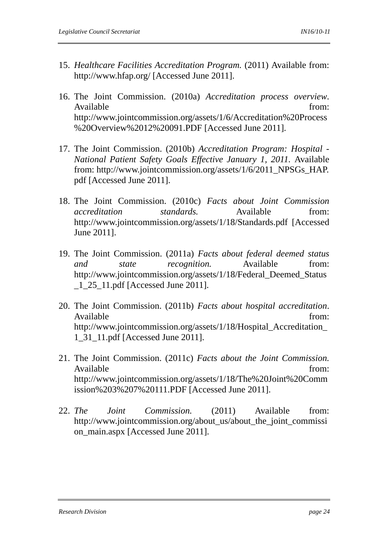- 15. *Healthcare Facilities Accreditation Program.* (2011) Available from: http://www.hfap.org/ [Accessed June 2011].
- 16. The Joint Commission. (2010a) *Accreditation process overview*. Available from: http://www.jointcommission.org/assets/1/6/Accreditation%20Process %20Overview%2012%20091.PDF [Accessed June 2011].
- 17. The Joint Commission. (2010b) *Accreditation Program: Hospital National Patient Safety Goals Effective January 1, 2011.* Available from: http://www.jointcommission.org/assets/1/6/2011\_NPSGs\_HAP. pdf [Accessed June 2011].
- 18. The Joint Commission. (2010c) *Facts about Joint Commission accreditation standards.* Available from: http://www.jointcommission.org/assets/1/18/Standards.pdf [Accessed June 2011].
- 19. The Joint Commission. (2011a) *Facts about federal deemed status and state recognition.* Available from: http://www.jointcommission.org/assets/1/18/Federal\_Deemed\_Status \_1\_25\_11.pdf [Accessed June 2011].
- 20. The Joint Commission. (2011b) *Facts about hospital accreditation*. Available from:  $\blacksquare$ http://www.jointcommission.org/assets/1/18/Hospital\_Accreditation\_ 1\_31\_11.pdf [Accessed June 2011].
- 21. The Joint Commission. (2011c) *Facts about the Joint Commission.*  Available from:  $\blacksquare$ http://www.jointcommission.org/assets/1/18/The%20Joint%20Comm ission%203%207%20111.PDF [Accessed June 2011].
- 22. *The Joint Commission.* (2011) Available from: http://www.jointcommission.org/about\_us/about\_the\_joint\_commissi on main.aspx [Accessed June 2011].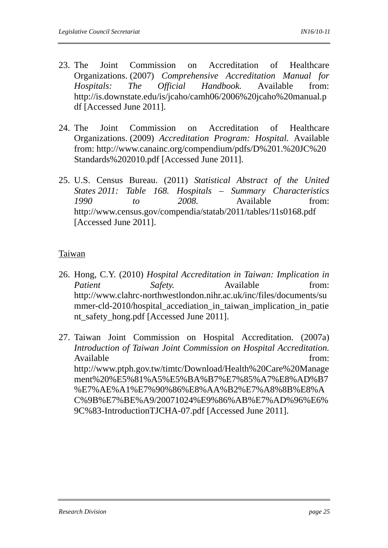- 23. The Joint Commission on Accreditation of Healthcare Organizations. (2007) *Comprehensive Accreditation Manual for Hospitals: The Official Handbook.* Available from: http://is.downstate.edu/is/jcaho/camh06/2006%20jcaho%20manual.p df [Accessed June 2011].
- 24. The Joint Commission on Accreditation of Healthcare Organizations. (2009) *Accreditation Program: Hospital.* Available from: http://www.canainc.org/compendium/pdfs/D%201.%20JC%20 Standards%202010.pdf [Accessed June 2011].
- 25. U.S. Census Bureau. (2011) *Statistical Abstract of the United States 2011: Table 168. Hospitals – Summary Characteristics 1990 to 2008.* Available from: http://www.census.gov/compendia/statab/2011/tables/11s0168.pdf [Accessed June 2011].

#### Taiwan

- 26. Hong, C.Y. (2010) *Hospital Accreditation in Taiwan: Implication in Patient Safety*. Available from: http://www.clahrc-northwestlondon.nihr.ac.uk/inc/files/documents/su mmer-cld-2010/hospital\_accediation\_in\_taiwan\_implication\_in\_patie nt\_safety\_hong.pdf [Accessed June 2011].
- 27. Taiwan Joint Commission on Hospital Accreditation. (2007a) *Introduction of Taiwan Joint Commission on Hospital Accreditation.* Available from: http://www.ptph.gov.tw/timtc/Download/Health%20Care%20Manage ment%20%E5%81%A5%E5%BA%B7%E7%85%A7%E8%AD%B7 %E7%AE%A1%E7%90%86%E8%AA%B2%E7%A8%8B%E8%A C%9B%E7%BE%A9/20071024%E9%86%AB%E7%AD%96%E6% 9C%83-IntroductionTJCHA-07.pdf [Accessed June 2011].